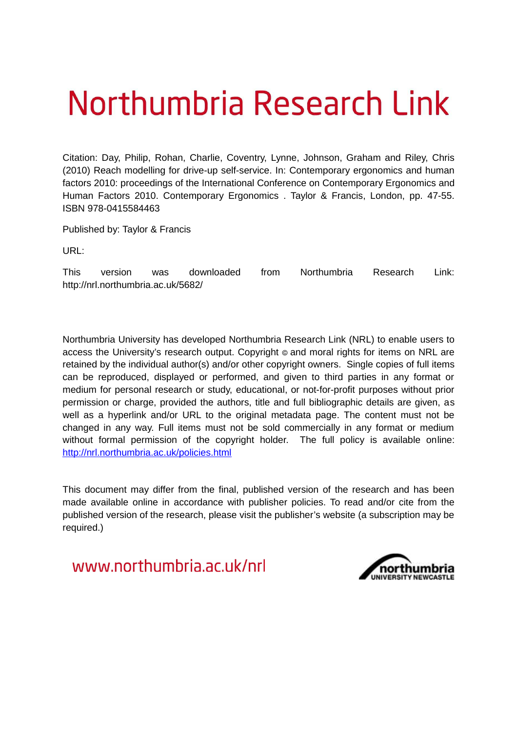# Northumbria Research Link

Citation: Day, Philip, Rohan, Charlie, Coventry, Lynne, Johnson, Graham and Riley, Chris (2010) Reach modelling for drive-up self-service. In: Contemporary ergonomics and human factors 2010: proceedings of the International Conference on Contemporary Ergonomics and Human Factors 2010. Contemporary Ergonomics . Taylor & Francis, London, pp. 47-55. ISBN 978-0415584463

Published by: Taylor & Francis

URL:

This version was downloaded from Northumbria Research Link: http://nrl.northumbria.ac.uk/5682/

Northumbria University has developed Northumbria Research Link (NRL) to enable users to access the University's research output. Copyright  $\circ$  and moral rights for items on NRL are retained by the individual author(s) and/or other copyright owners. Single copies of full items can be reproduced, displayed or performed, and given to third parties in any format or medium for personal research or study, educational, or not-for-profit purposes without prior permission or charge, provided the authors, title and full bibliographic details are given, as well as a hyperlink and/or URL to the original metadata page. The content must not be changed in any way. Full items must not be sold commercially in any format or medium without formal permission of the copyright holder. The full policy is available online: <http://nrl.northumbria.ac.uk/policies.html>

This document may differ from the final, published version of the research and has been made available online in accordance with publisher policies. To read and/or cite from the published version of the research, please visit the publisher's website (a subscription may be required.)

www.northumbria.ac.uk/nrl

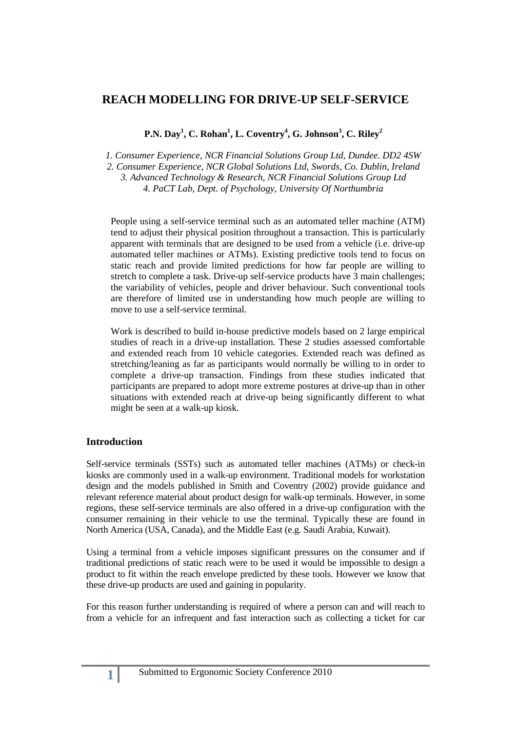# **REACH MODELLING FOR DRIVE-UP SELF-SERVICE**

**P.N. Day<sup>1</sup> , C. Rohan<sup>1</sup> , L. Coventry<sup>4</sup> , G. Johnson<sup>3</sup> , C. Riley<sup>2</sup>**

*1. Consumer Experience, NCR Financial Solutions Group Ltd, Dundee. DD2 4SW* 

*2. Consumer Experience, NCR Global Solutions Ltd, Swords, Co. Dublin, Ireland* 

*3. Advanced Technology & Research, NCR Financial Solutions Group Ltd 4. PaCT Lab, Dept. of Psychology, University Of Northumbria* 

People using a self-service terminal such as an automated teller machine (ATM) tend to adjust their physical position throughout a transaction. This is particularly apparent with terminals that are designed to be used from a vehicle (i.e. drive-up automated teller machines or ATMs). Existing predictive tools tend to focus on static reach and provide limited predictions for how far people are willing to stretch to complete a task. Drive-up self-service products have 3 main challenges; the variability of vehicles, people and driver behaviour. Such conventional tools are therefore of limited use in understanding how much people are willing to move to use a self-service terminal.

Work is described to build in-house predictive models based on 2 large empirical studies of reach in a drive-up installation. These 2 studies assessed comfortable and extended reach from 10 vehicle categories. Extended reach was defined as stretching/leaning as far as participants would normally be willing to in order to complete a drive-up transaction. Findings from these studies indicated that participants are prepared to adopt more extreme postures at drive-up than in other situations with extended reach at drive-up being significantly different to what might be seen at a walk-up kiosk.

# **Introduc**t**ion**

Self-service terminals (SSTs) such as automated teller machines (ATMs) or check-in kiosks are commonly used in a walk-up environment. Traditional models for workstation design and the models published in Smith and Coventry (2002) provide guidance and relevant reference material about product design for walk-up terminals. However, in some regions, these self-service terminals are also offered in a drive-up configuration with the consumer remaining in their vehicle to use the terminal. Typically these are found in North America (USA, Canada), and the Middle East (e.g. Saudi Arabia, Kuwait).

Using a terminal from a vehicle imposes significant pressures on the consumer and if traditional predictions of static reach were to be used it would be impossible to design a product to fit within the reach envelope predicted by these tools. However we know that these drive-up products are used and gaining in popularity.

For this reason further understanding is required of where a person can and will reach to from a vehicle for an infrequent and fast interaction such as collecting a ticket for car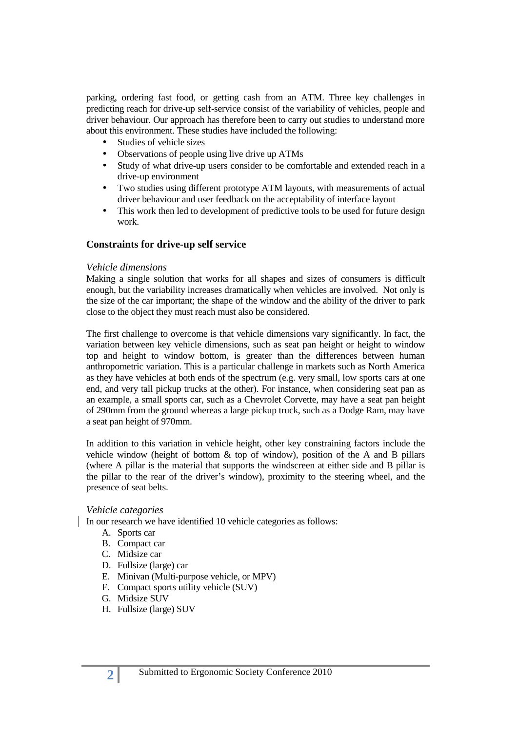parking, ordering fast food, or getting cash from an ATM. Three key challenges in predicting reach for drive-up self-service consist of the variability of vehicles, people and driver behaviour. Our approach has therefore been to carry out studies to understand more about this environment. These studies have included the following:

- Studies of vehicle sizes
- Observations of people using live drive up ATMs
- Study of what drive-up users consider to be comfortable and extended reach in a drive-up environment
- Two studies using different prototype ATM layouts, with measurements of actual driver behaviour and user feedback on the acceptability of interface layout
- This work then led to development of predictive tools to be used for future design work.

### **Constraints for drive-up self service**

#### *Vehicle dimensions*

Making a single solution that works for all shapes and sizes of consumers is difficult enough, but the variability increases dramatically when vehicles are involved. Not only is the size of the car important; the shape of the window and the ability of the driver to park close to the object they must reach must also be considered.

The first challenge to overcome is that vehicle dimensions vary significantly. In fact, the variation between key vehicle dimensions, such as seat pan height or height to window top and height to window bottom, is greater than the differences between human anthropometric variation. This is a particular challenge in markets such as North America as they have vehicles at both ends of the spectrum (e.g. very small, low sports cars at one end, and very tall pickup trucks at the other). For instance, when considering seat pan as an example, a small sports car, such as a Chevrolet Corvette, may have a seat pan height of 290mm from the ground whereas a large pickup truck, such as a Dodge Ram, may have a seat pan height of 970mm.

In addition to this variation in vehicle height, other key constraining factors include the vehicle window (height of bottom & top of window), position of the A and B pillars (where A pillar is the material that supports the windscreen at either side and B pillar is the pillar to the rear of the driver's window), proximity to the steering wheel, and the presence of seat belts.

#### *Vehicle categories*

In our research we have identified 10 vehicle categories as follows:

- A. Sports car
- B. Compact car
- C. Midsize car
- D. Fullsize (large) car
- E. Minivan (Multi-purpose vehicle, or MPV)
- F. Compact sports utility vehicle (SUV)
- G. Midsize SUV
- H. Fullsize (large) SUV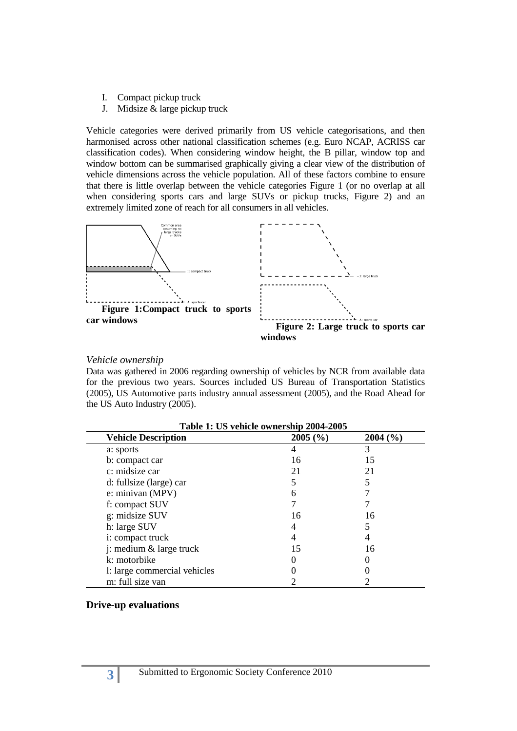- I. Compact pickup truck
- J. Midsize & large pickup truck

Vehicle categories were derived primarily from US vehicle categorisations, and then harmonised across other national classification schemes (e.g. Euro NCAP, ACRISS car classification codes). When considering window height, the B pillar, window top and window bottom can be summarised graphically giving a clear view of the distribution of vehicle dimensions across the vehicle population. All of these factors combine to ensure that there is little overlap between the vehicle categories Figure 1 (or no overlap at all when considering sports cars and large SUVs or pickup trucks, Figure 2) and an extremely limited zone of reach for all consumers in all vehicles.



# *Vehicle ownership*

Data was gathered in 2006 regarding ownership of vehicles by NCR from available data for the previous two years. Sources included US Bureau of Transportation Statistics (2005), US Automotive parts industry annual assessment (2005), and the Road Ahead for the US Auto Industry (2005).

|                                     | Table 1: US vehicle ownership 2004-2005 |         |
|-------------------------------------|-----------------------------------------|---------|
| <b>Vehicle Description</b>          | 2005(%)                                 | 2004(%) |
| a: sports                           |                                         | 3       |
| b: compact car                      | 16                                      | 15      |
| c: midsize car                      | 21                                      | 21      |
| d: fullsize (large) car             |                                         |         |
| e: minivan (MPV)                    |                                         |         |
| f: compact SUV                      |                                         |         |
| g: midsize SUV                      | 16                                      | 16      |
| h: large SUV                        |                                         |         |
| i: compact truck                    |                                         |         |
| $\mathbf{i}$ : medium & large truck | 15                                      | 16      |
| k: motorbike                        |                                         |         |
| 1: large commercial vehicles        |                                         |         |
| m: full size van                    |                                         |         |

#### **Drive-up evaluations**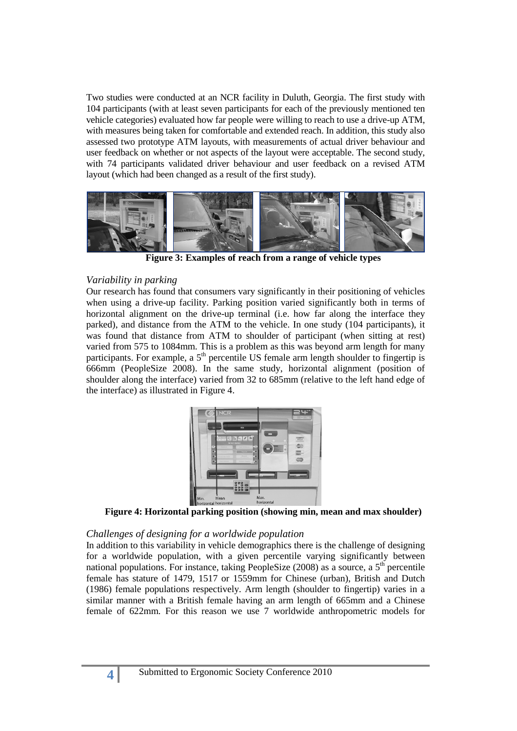Two studies were conducted at an NCR facility in Duluth, Georgia. The first study with 104 participants (with at least seven participants for each of the previously mentioned ten vehicle categories) evaluated how far people were willing to reach to use a drive-up ATM, with measures being taken for comfortable and extended reach. In addition, this study also assessed two prototype ATM layouts, with measurements of actual driver behaviour and user feedback on whether or not aspects of the layout were acceptable. The second study, with 74 participants validated driver behaviour and user feedback on a revised ATM layout (which had been changed as a result of the first study).



**Figure 3: Examples of reach from a range of vehicle types** 

# *Variability in parking*

Our research has found that consumers vary significantly in their positioning of vehicles when using a drive-up facility. Parking position varied significantly both in terms of horizontal alignment on the drive-up terminal (i.e. how far along the interface they parked), and distance from the ATM to the vehicle. In one study (104 participants), it was found that distance from ATM to shoulder of participant (when sitting at rest) varied from 575 to 1084mm. This is a problem as this was beyond arm length for many participants. For example, a  $5<sup>th</sup>$  percentile US female arm length shoulder to fingertip is 666mm (PeopleSize 2008). In the same study, horizontal alignment (position of shoulder along the interface) varied from 32 to 685mm (relative to the left hand edge of the interface) as illustrated in Figure 4.



**Figure 4: Horizontal parking position (showing min, mean and max shoulder)** 

#### *Challenges of designing for a worldwide population*

In addition to this variability in vehicle demographics there is the challenge of designing for a worldwide population, with a given percentile varying significantly between national populations. For instance, taking PeopleSize  $(2008)$  as a source, a 5<sup>th</sup> percentile female has stature of 1479, 1517 or 1559mm for Chinese (urban), British and Dutch (1986) female populations respectively. Arm length (shoulder to fingertip) varies in a similar manner with a British female having an arm length of 665mm and a Chinese female of 622mm. For this reason we use 7 worldwide anthropometric models for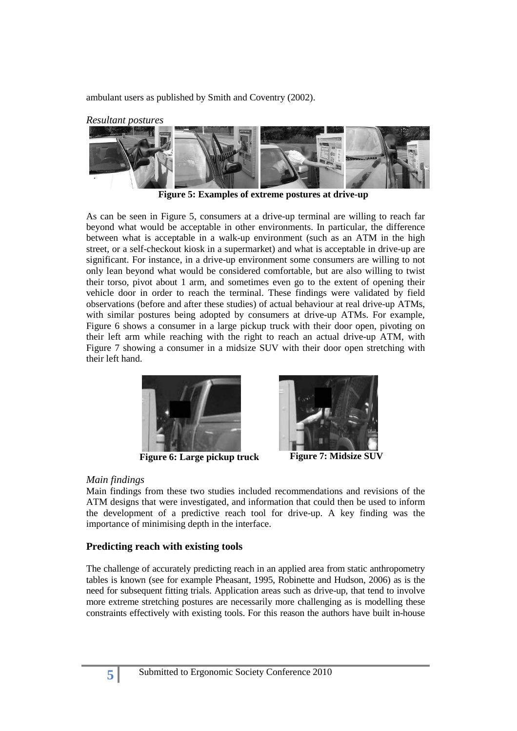ambulant users as published by Smith and Coventry (2002).

*Resultant postures* 



**Figure 5: Examples of extreme postures at drive-up** 

As can be seen in Figure 5, consumers at a drive-up terminal are willing to reach far beyond what would be acceptable in other environments. In particular, the difference between what is acceptable in a walk-up environment (such as an ATM in the high street, or a self-checkout kiosk in a supermarket) and what is acceptable in drive-up are significant. For instance, in a drive-up environment some consumers are willing to not only lean beyond what would be considered comfortable, but are also willing to twist their torso, pivot about 1 arm, and sometimes even go to the extent of opening their vehicle door in order to reach the terminal. These findings were validated by field observations (before and after these studies) of actual behaviour at real drive-up ATMs, with similar postures being adopted by consumers at drive-up ATMs. For example, Figure 6 shows a consumer in a large pickup truck with their door open, pivoting on their left arm while reaching with the right to reach an actual drive-up ATM, with Figure 7 showing a consumer in a midsize SUV with their door open stretching with their left hand.



Figure 6: Large pickup truck Figure 7: Midsize SUV



# *Main findings*

Main findings from these two studies included recommendations and revisions of the ATM designs that were investigated, and information that could then be used to inform the development of a predictive reach tool for drive-up. A key finding was the importance of minimising depth in the interface.

# **Predicting reach with existing tools**

The challenge of accurately predicting reach in an applied area from static anthropometry tables is known (see for example Pheasant, 1995, Robinette and Hudson, 2006) as is the need for subsequent fitting trials. Application areas such as drive-up, that tend to involve more extreme stretching postures are necessarily more challenging as is modelling these constraints effectively with existing tools. For this reason the authors have built in-house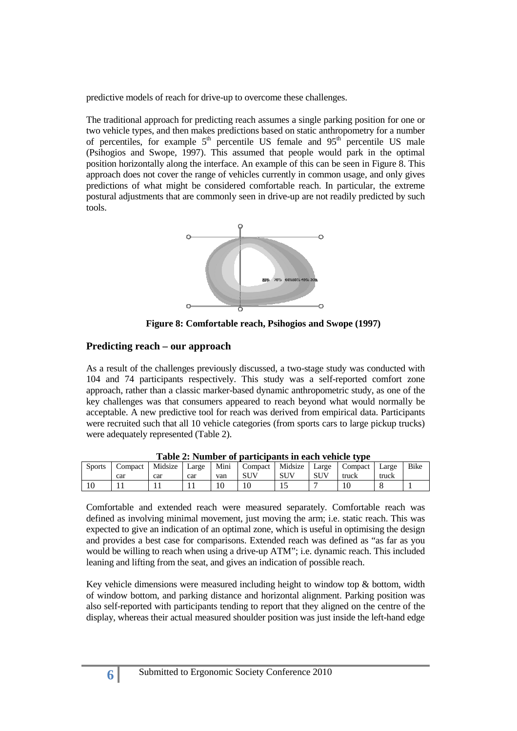predictive models of reach for drive-up to overcome these challenges.

The traditional approach for predicting reach assumes a single parking position for one or two vehicle types, and then makes predictions based on static anthropometry for a number of percentiles, for example  $5<sup>th</sup>$  percentile US female and  $95<sup>th</sup>$  percentile US male (Psihogios and Swope, 1997). This assumed that people would park in the optimal position horizontally along the interface. An example of this can be seen in Figure 8. This approach does not cover the range of vehicles currently in common usage, and only gives predictions of what might be considered comfortable reach. In particular, the extreme postural adjustments that are commonly seen in drive-up are not readily predicted by such tools.



**Figure 8: Comfortable reach, Psihogios and Swope (1997)** 

# **Predicting reach – our approach**

As a result of the challenges previously discussed, a two-stage study was conducted with 104 and 74 participants respectively. This study was a self-reported comfort zone approach, rather than a classic marker-based dynamic anthropometric study, as one of the key challenges was that consumers appeared to reach beyond what would normally be acceptable. A new predictive tool for reach was derived from empirical data. Participants were recruited such that all 10 vehicle categories (from sports cars to large pickup trucks) were adequately represented (Table 2).

|               |         |         |       |      | <b>Table 2. Number of participants in each venicle type</b> |            |       |         |       |      |
|---------------|---------|---------|-------|------|-------------------------------------------------------------|------------|-------|---------|-------|------|
| <b>Sports</b> | Compact | Midsize | Large | Mini | Compact                                                     | Midsize    | Large | Compact | Large | Bike |
|               | car     | car     | car   | van  |                                                             | <b>SUV</b> | SUV   | truck   | truck |      |
|               |         |         |       |      |                                                             |            |       |         |       |      |

Comfortable and extended reach were measured separately. Comfortable reach was defined as involving minimal movement, just moving the arm; i.e. static reach. This was expected to give an indication of an optimal zone, which is useful in optimising the design and provides a best case for comparisons. Extended reach was defined as "as far as you would be willing to reach when using a drive-up ATM"; i.e. dynamic reach. This included leaning and lifting from the seat, and gives an indication of possible reach.

Key vehicle dimensions were measured including height to window top & bottom, width of window bottom, and parking distance and horizontal alignment. Parking position was also self-reported with participants tending to report that they aligned on the centre of the display, whereas their actual measured shoulder position was just inside the left-hand edge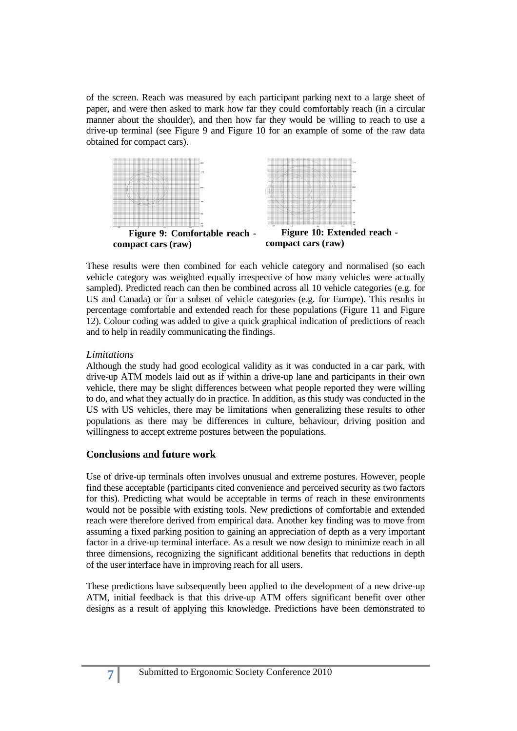of the screen. Reach was measured by each participant parking next to a large sheet of paper, and were then asked to mark how far they could comfortably reach (in a circular manner about the shoulder), and then how far they would be willing to reach to use a drive-up terminal (see Figure 9 and Figure 10 for an example of some of the raw data obtained for compact cars).



These results were then combined for each vehicle category and normalised (so each vehicle category was weighted equally irrespective of how many vehicles were actually sampled). Predicted reach can then be combined across all 10 vehicle categories (e.g. for US and Canada) or for a subset of vehicle categories (e.g. for Europe). This results in percentage comfortable and extended reach for these populations (Figure 11 and Figure 12). Colour coding was added to give a quick graphical indication of predictions of reach and to help in readily communicating the findings.

# *Limitations*

Although the study had good ecological validity as it was conducted in a car park, with drive-up ATM models laid out as if within a drive-up lane and participants in their own vehicle, there may be slight differences between what people reported they were willing to do, and what they actually do in practice. In addition, as this study was conducted in the US with US vehicles, there may be limitations when generalizing these results to other populations as there may be differences in culture, behaviour, driving position and willingness to accept extreme postures between the populations.

# **Conclusions and future work**

Use of drive-up terminals often involves unusual and extreme postures. However, people find these acceptable (participants cited convenience and perceived security as two factors for this). Predicting what would be acceptable in terms of reach in these environments would not be possible with existing tools. New predictions of comfortable and extended reach were therefore derived from empirical data. Another key finding was to move from assuming a fixed parking position to gaining an appreciation of depth as a very important factor in a drive-up terminal interface. As a result we now design to minimize reach in all three dimensions, recognizing the significant additional benefits that reductions in depth of the user interface have in improving reach for all users.

These predictions have subsequently been applied to the development of a new drive-up ATM, initial feedback is that this drive-up ATM offers significant benefit over other designs as a result of applying this knowledge. Predictions have been demonstrated to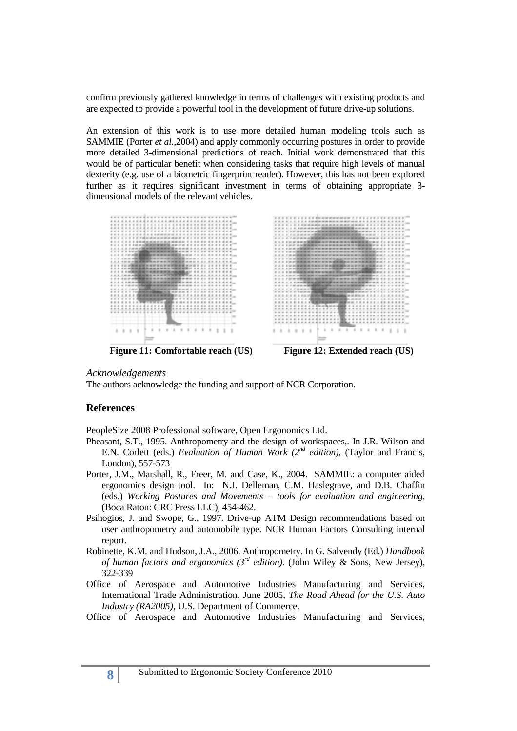confirm previously gathered knowledge in terms of challenges with existing products and are expected to provide a powerful tool in the development of future drive-up solutions.

An extension of this work is to use more detailed human modeling tools such as SAMMIE (Porter *et al.,*2004) and apply commonly occurring postures in order to provide more detailed 3-dimensional predictions of reach. Initial work demonstrated that this would be of particular benefit when considering tasks that require high levels of manual dexterity (e.g. use of a biometric fingerprint reader). However, this has not been explored further as it requires significant investment in terms of obtaining appropriate 3 dimensional models of the relevant vehicles.

| a la color de la color de la colorada de la color de la color de la color de la color<br>A R R R AN AN ANGER ANGER ANGERE AN AP AT<br><b>I A FIRM HERE FERE HER HER HER HER HER HER HER HER</b><br>In your cash well-known with your countries was one was your your your your your your city you want you you you have<br>A A A A C AN AN ORDER WE WE ARRANGED TO A REPORT OF A REAL PROPERTY AND RELEASED FOR ANY ARRANGEMENT AND LOC<br>2 20 20 21 22 23 24 25 26 27 28 29 29 20 20 20 20 20 21 22 23 24 25 26 27 28 29 20 21 22 23 24 25 26 27 28 29 20 21 22 23 24<br>1 1 1 1 2 2 2 2 2 3 4 5 6 7 8 9 9 9 9 9 9 8 8 9 9 0 1 2 3 9 9 0 8 9 8 9 8 9 8 9 9 0 1<br>2 2 4 4 5 5 6 <b>7 8 9 10 11 12 13 14 15 16 17 18 19 10 11 12 13 14 15 16 17 18 18 19 10 11 12 13 14 15 16 17 18 1</b><br><b>COMPUTATIONS AND RESERVED TO A RESIDENCE AND RESERVED ON A RESIDENCE OF A REAL PROPERTY AND RESIDENCE</b><br>A I A A 2 A 22 A 22 BY AN UN WAS THE REAL PROPERTY OF THE ANNUAL MANAGEMENT OF THE AVE<br>2 2 2 3 3 4 5 6 7 8 9 9 0 1 2 3 4 5 6 7 8 9 0 1 2 3 4 5 6 7 8 9 0 1 2 3 4 5 6 7 8 9 0 1 2 3 4 5 6 7 8 9 0 1 2<br>A P 40 47 51 82 93 94 95 96 97 98 99 90 90 90 90 90 90 91 92 93 94 95 96 97 98 99 90 91 92 93 94 95 96 97 98 99 90 91 92 93 94 95 96 97 98 99 90 91 92 93 94 95 96 97 98 99 90 91 92 93 94 95 96 97 98 99 90 91 92 93 94 95 96<br>$1.1.1.1$ CHARD HOUSE OF REAL PROPERTY.<br><b>2 2 3 3 4 5 4 5 6 7 8 9 9 10 11 12 13 14 15 16 17 18 18 19 19 10 11 12 13 14 15 16 17 18 18 19 19 19 10 11 12 1</b><br>A R A R AND HOMES MURDERED AVAIL<br>THE R. P. LEWIS CO., LANSING, MICH. 49-14039-1-120-2-20-20-20-20-20-20-20-20-20-20-20-2<br>.<br>.<br><br><br>$-1$<br>$-1$<br>- 8<br>- 81<br>$\pm 0$<br>× |
|------------------------------------------------------------------------------------------------------------------------------------------------------------------------------------------------------------------------------------------------------------------------------------------------------------------------------------------------------------------------------------------------------------------------------------------------------------------------------------------------------------------------------------------------------------------------------------------------------------------------------------------------------------------------------------------------------------------------------------------------------------------------------------------------------------------------------------------------------------------------------------------------------------------------------------------------------------------------------------------------------------------------------------------------------------------------------------------------------------------------------------------------------------------------------------------------------------------------------------------------------------------------------------------------------------------------------------------------------------------------------------------------------------------------------------------------------------------------------------------------------------------------------------------------------------------------------------------------------------------------------------------------------------------------------------------------------------------------------|
|                                                                                                                                                                                                                                                                                                                                                                                                                                                                                                                                                                                                                                                                                                                                                                                                                                                                                                                                                                                                                                                                                                                                                                                                                                                                                                                                                                                                                                                                                                                                                                                                                                                                                                                              |
|                                                                                                                                                                                                                                                                                                                                                                                                                                                                                                                                                                                                                                                                                                                                                                                                                                                                                                                                                                                                                                                                                                                                                                                                                                                                                                                                                                                                                                                                                                                                                                                                                                                                                                                              |
|                                                                                                                                                                                                                                                                                                                                                                                                                                                                                                                                                                                                                                                                                                                                                                                                                                                                                                                                                                                                                                                                                                                                                                                                                                                                                                                                                                                                                                                                                                                                                                                                                                                                                                                              |
|                                                                                                                                                                                                                                                                                                                                                                                                                                                                                                                                                                                                                                                                                                                                                                                                                                                                                                                                                                                                                                                                                                                                                                                                                                                                                                                                                                                                                                                                                                                                                                                                                                                                                                                              |
|                                                                                                                                                                                                                                                                                                                                                                                                                                                                                                                                                                                                                                                                                                                                                                                                                                                                                                                                                                                                                                                                                                                                                                                                                                                                                                                                                                                                                                                                                                                                                                                                                                                                                                                              |
|                                                                                                                                                                                                                                                                                                                                                                                                                                                                                                                                                                                                                                                                                                                                                                                                                                                                                                                                                                                                                                                                                                                                                                                                                                                                                                                                                                                                                                                                                                                                                                                                                                                                                                                              |
|                                                                                                                                                                                                                                                                                                                                                                                                                                                                                                                                                                                                                                                                                                                                                                                                                                                                                                                                                                                                                                                                                                                                                                                                                                                                                                                                                                                                                                                                                                                                                                                                                                                                                                                              |
|                                                                                                                                                                                                                                                                                                                                                                                                                                                                                                                                                                                                                                                                                                                                                                                                                                                                                                                                                                                                                                                                                                                                                                                                                                                                                                                                                                                                                                                                                                                                                                                                                                                                                                                              |
|                                                                                                                                                                                                                                                                                                                                                                                                                                                                                                                                                                                                                                                                                                                                                                                                                                                                                                                                                                                                                                                                                                                                                                                                                                                                                                                                                                                                                                                                                                                                                                                                                                                                                                                              |
|                                                                                                                                                                                                                                                                                                                                                                                                                                                                                                                                                                                                                                                                                                                                                                                                                                                                                                                                                                                                                                                                                                                                                                                                                                                                                                                                                                                                                                                                                                                                                                                                                                                                                                                              |
|                                                                                                                                                                                                                                                                                                                                                                                                                                                                                                                                                                                                                                                                                                                                                                                                                                                                                                                                                                                                                                                                                                                                                                                                                                                                                                                                                                                                                                                                                                                                                                                                                                                                                                                              |
|                                                                                                                                                                                                                                                                                                                                                                                                                                                                                                                                                                                                                                                                                                                                                                                                                                                                                                                                                                                                                                                                                                                                                                                                                                                                                                                                                                                                                                                                                                                                                                                                                                                                                                                              |
|                                                                                                                                                                                                                                                                                                                                                                                                                                                                                                                                                                                                                                                                                                                                                                                                                                                                                                                                                                                                                                                                                                                                                                                                                                                                                                                                                                                                                                                                                                                                                                                                                                                                                                                              |
|                                                                                                                                                                                                                                                                                                                                                                                                                                                                                                                                                                                                                                                                                                                                                                                                                                                                                                                                                                                                                                                                                                                                                                                                                                                                                                                                                                                                                                                                                                                                                                                                                                                                                                                              |
|                                                                                                                                                                                                                                                                                                                                                                                                                                                                                                                                                                                                                                                                                                                                                                                                                                                                                                                                                                                                                                                                                                                                                                                                                                                                                                                                                                                                                                                                                                                                                                                                                                                                                                                              |
|                                                                                                                                                                                                                                                                                                                                                                                                                                                                                                                                                                                                                                                                                                                                                                                                                                                                                                                                                                                                                                                                                                                                                                                                                                                                                                                                                                                                                                                                                                                                                                                                                                                                                                                              |
|                                                                                                                                                                                                                                                                                                                                                                                                                                                                                                                                                                                                                                                                                                                                                                                                                                                                                                                                                                                                                                                                                                                                                                                                                                                                                                                                                                                                                                                                                                                                                                                                                                                                                                                              |
|                                                                                                                                                                                                                                                                                                                                                                                                                                                                                                                                                                                                                                                                                                                                                                                                                                                                                                                                                                                                                                                                                                                                                                                                                                                                                                                                                                                                                                                                                                                                                                                                                                                                                                                              |
|                                                                                                                                                                                                                                                                                                                                                                                                                                                                                                                                                                                                                                                                                                                                                                                                                                                                                                                                                                                                                                                                                                                                                                                                                                                                                                                                                                                                                                                                                                                                                                                                                                                                                                                              |
|                                                                                                                                                                                                                                                                                                                                                                                                                                                                                                                                                                                                                                                                                                                                                                                                                                                                                                                                                                                                                                                                                                                                                                                                                                                                                                                                                                                                                                                                                                                                                                                                                                                                                                                              |
|                                                                                                                                                                                                                                                                                                                                                                                                                                                                                                                                                                                                                                                                                                                                                                                                                                                                                                                                                                                                                                                                                                                                                                                                                                                                                                                                                                                                                                                                                                                                                                                                                                                                                                                              |
|                                                                                                                                                                                                                                                                                                                                                                                                                                                                                                                                                                                                                                                                                                                                                                                                                                                                                                                                                                                                                                                                                                                                                                                                                                                                                                                                                                                                                                                                                                                                                                                                                                                                                                                              |
|                                                                                                                                                                                                                                                                                                                                                                                                                                                                                                                                                                                                                                                                                                                                                                                                                                                                                                                                                                                                                                                                                                                                                                                                                                                                                                                                                                                                                                                                                                                                                                                                                                                                                                                              |
|                                                                                                                                                                                                                                                                                                                                                                                                                                                                                                                                                                                                                                                                                                                                                                                                                                                                                                                                                                                                                                                                                                                                                                                                                                                                                                                                                                                                                                                                                                                                                                                                                                                                                                                              |
|                                                                                                                                                                                                                                                                                                                                                                                                                                                                                                                                                                                                                                                                                                                                                                                                                                                                                                                                                                                                                                                                                                                                                                                                                                                                                                                                                                                                                                                                                                                                                                                                                                                                                                                              |
|                                                                                                                                                                                                                                                                                                                                                                                                                                                                                                                                                                                                                                                                                                                                                                                                                                                                                                                                                                                                                                                                                                                                                                                                                                                                                                                                                                                                                                                                                                                                                                                                                                                                                                                              |
|                                                                                                                                                                                                                                                                                                                                                                                                                                                                                                                                                                                                                                                                                                                                                                                                                                                                                                                                                                                                                                                                                                                                                                                                                                                                                                                                                                                                                                                                                                                                                                                                                                                                                                                              |
|                                                                                                                                                                                                                                                                                                                                                                                                                                                                                                                                                                                                                                                                                                                                                                                                                                                                                                                                                                                                                                                                                                                                                                                                                                                                                                                                                                                                                                                                                                                                                                                                                                                                                                                              |
|                                                                                                                                                                                                                                                                                                                                                                                                                                                                                                                                                                                                                                                                                                                                                                                                                                                                                                                                                                                                                                                                                                                                                                                                                                                                                                                                                                                                                                                                                                                                                                                                                                                                                                                              |
|                                                                                                                                                                                                                                                                                                                                                                                                                                                                                                                                                                                                                                                                                                                                                                                                                                                                                                                                                                                                                                                                                                                                                                                                                                                                                                                                                                                                                                                                                                                                                                                                                                                                                                                              |
|                                                                                                                                                                                                                                                                                                                                                                                                                                                                                                                                                                                                                                                                                                                                                                                                                                                                                                                                                                                                                                                                                                                                                                                                                                                                                                                                                                                                                                                                                                                                                                                                                                                                                                                              |
|                                                                                                                                                                                                                                                                                                                                                                                                                                                                                                                                                                                                                                                                                                                                                                                                                                                                                                                                                                                                                                                                                                                                                                                                                                                                                                                                                                                                                                                                                                                                                                                                                                                                                                                              |

**Figure 11: Comfortable reach (US) Figure 12: Extended reach (US)** 

#### *Acknowledgements*

The authors acknowledge the funding and support of NCR Corporation.

#### **References**

PeopleSize 2008 Professional software, Open Ergonomics Ltd.

- Pheasant, S.T., 1995. Anthropometry and the design of workspaces,. In J.R. Wilson and E.N. Corlett (eds.) *Evaluation of Human Work (2nd edition)*, (Taylor and Francis, London), 557-573
- Porter, J.M., Marshall, R., Freer, M. and Case, K., 2004. SAMMIE: a computer aided ergonomics design tool. In: N.J. Delleman, C.M. Haslegrave, and D.B. Chaffin (eds.) *Working Postures and Movements – tools for evaluation and engineering*, (Boca Raton: CRC Press LLC), 454-462.
- Psihogios, J. and Swope, G., 1997. Drive-up ATM Design recommendations based on user anthropometry and automobile type. NCR Human Factors Consulting internal report.
- Robinette, K.M. and Hudson, J.A., 2006. Anthropometry. In G. Salvendy (Ed.) *Handbook of human factors and ergonomics (3rd edition)*. (John Wiley & Sons, New Jersey), 322-339
- Office of Aerospace and Automotive Industries Manufacturing and Services, International Trade Administration. June 2005, *The Road Ahead for the U.S. Auto Industry (RA2005)*, U.S. Department of Commerce.
- Office of Aerospace and Automotive Industries Manufacturing and Services,